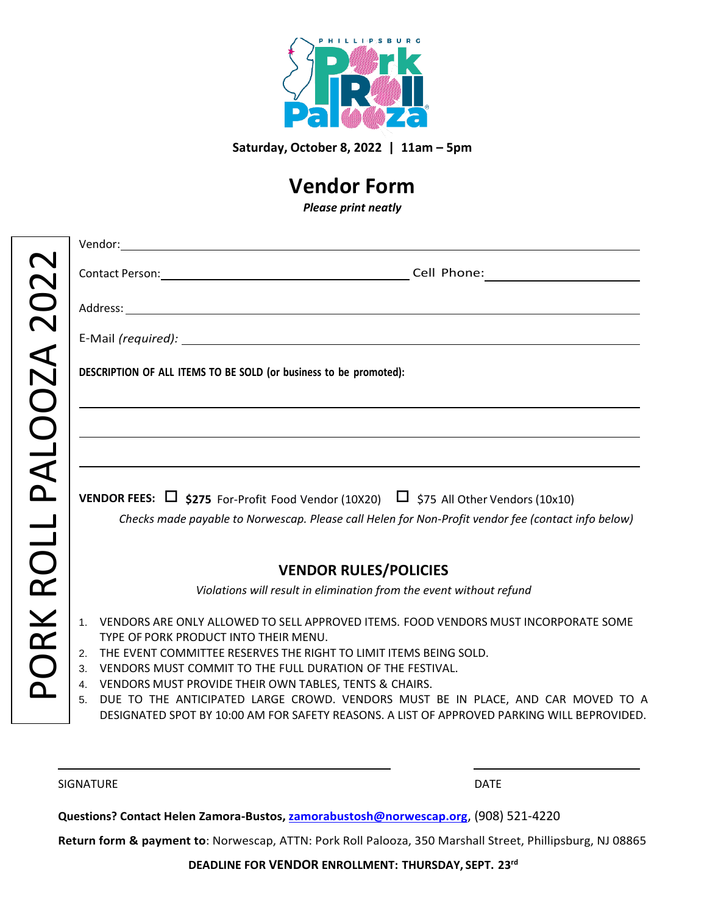

**Saturday, October 8, 2022 | 11am – 5pm**

## **Vendor Form**

*Please print neatly*

| ORK ROLL PALOOZA 2022 |                                                                                                                                      |
|-----------------------|--------------------------------------------------------------------------------------------------------------------------------------|
|                       |                                                                                                                                      |
|                       |                                                                                                                                      |
|                       | DESCRIPTION OF ALL ITEMS TO BE SOLD (or business to be promoted):                                                                    |
|                       | <u> 1989 - Johann Stoff, amerikansk politiker (* 1908)</u>                                                                           |
|                       | ,我们也不会有什么。""我们的人,我们也不会有什么?""我们的人,我们也不会有什么?""我们的人,我们也不会有什么?""我们的人,我们也不会有什么?""我们的人                                                     |
|                       | <u> 1989 - Johann Stoff, amerikansk politiker (d. 1989)</u>                                                                          |
|                       | <b>VENDOR FEES:</b> $\Box$ \$275 For-Profit Food Vendor (10X20) $\Box$ \$75 All Other Vendors (10x10)                                |
|                       | Checks made payable to Norwescap. Please call Helen for Non-Profit vendor fee (contact info below)                                   |
|                       |                                                                                                                                      |
|                       | <b>VENDOR RULES/POLICIES</b>                                                                                                         |
|                       | Violations will result in elimination from the event without refund                                                                  |
|                       | 1. VENDORS ARE ONLY ALLOWED TO SELL APPROVED ITEMS. FOOD VENDORS MUST INCORPORATE SOME                                               |
|                       | TYPE OF PORK PRODUCT INTO THEIR MENU.                                                                                                |
|                       | 2. THE EVENT COMMITTEE RESERVES THE RIGHT TO LIMIT ITEMS BEING SOLD.<br>3. VENDORS MUST COMMIT TO THE FULL DURATION OF THE FESTIVAL. |
|                       | 4. VENDORS MUST PROVIDE THEIR OWN TABLES, TENTS & CHAIRS.                                                                            |
|                       | DUE TO THE ANTICIPATED LARGE CROWD. VENDORS MUST BE IN PLACE, AND CAR MOVED TO A<br>5 <sub>1</sub>                                   |
|                       | DESIGNATED SPOT BY 10:00 AM FOR SAFETY REASONS. A LIST OF APPROVED PARKING WILL BEPROVIDED.                                          |

SIGNATURE DATE DATE OF A SERIES OF A SERIES OF A SERIES OF A SERIES OF A SERIES OF A SERIES OF A SERIES OF A S

**Questions? Contact Helen Zamora-Bustos, [zamorabustosh@norwescap.org](mailto:zamorabustosh@norwescap.org)**, (908) 521-4220

**Return form & payment to**: Norwescap, ATTN: Pork Roll Palooza, 350 Marshall Street, Phillipsburg, NJ 08865

**DEADLINE FOR VENDOR ENROLLMENT: THURSDAY, SEPT. 23rd**